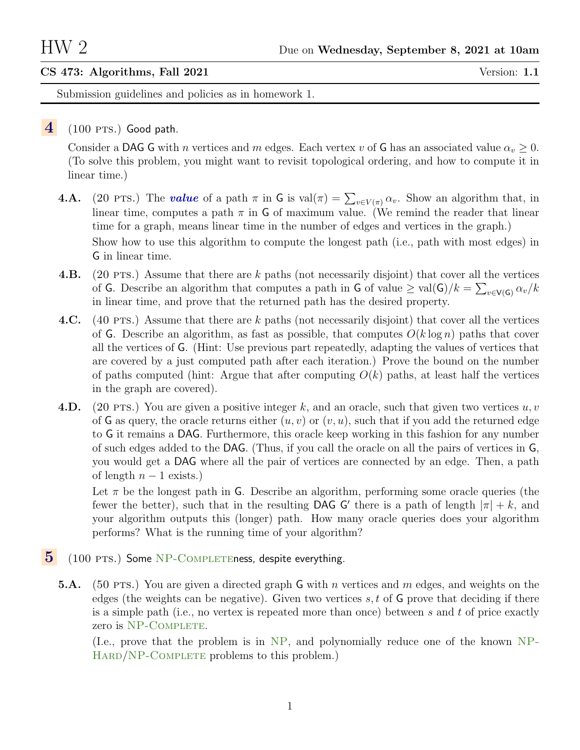## CS 473: Algorithms, Fall 2021 Version: 1.1

Submission guidelines and policies as in homework 1.

## $4$  (100 PTS.) Good path.

Consider a DAG G with *n* vertices and *m* edges. Each vertex *v* of G has an associated value  $\alpha_v \geq 0$ . (To solve this problem, you might want to revisit topological ordering, and how to compute it in linear time.)

- **4.A.** (20 PTS.) The **value** of a path  $\pi$  in G is val $(\pi) = \sum_{v \in V(\pi)} \alpha_v$ . Show an algorithm that, in linear time, computes a path  $\pi$  in G of maximum value. (We remind the reader that linear time for a graph, means linear time in the number of edges and vertices in the graph.) Show how to use this algorithm to compute the longest path (i.e., path with most edges) in G in linear time.
- 4.B. (20 PTS.) Assume that there are k paths (not necessarily disjoint) that cover all the vertices of G. Describe an algorithm that computes a path in G of value  $\geq \text{val}(G)/k = \sum_{v \in V(G)} \alpha_v/k$ in linear time, and prove that the returned path has the desired property.
- 4.C. (40 PTS.) Assume that there are k paths (not necessarily disjoint) that cover all the vertices of G. Describe an algorithm, as fast as possible, that computes  $O(k \log n)$  paths that cover all the vertices of G. (Hint: Use previous part repeatedly, adapting the values of vertices that are covered by a just computed path after each iteration.) Prove the bound on the number of paths computed (hint: Argue that after computing  $O(k)$  paths, at least half the vertices in the graph are covered).
- 4.D. (20 PTS.) You are given a positive integer k, and an oracle, such that given two vertices  $u, v$ of G as query, the oracle returns either  $(u, v)$  or  $(v, u)$ , such that if you add the returned edge to G it remains a DAG. Furthermore, this oracle keep working in this fashion for any number of such edges added to the DAG. (Thus, if you call the oracle on all the pairs of vertices in G, you would get a DAG where all the pair of vertices are connected by an edge. Then, a path of length  $n - 1$  exists.)

Let  $\pi$  be the longest path in G. Describe an algorithm, performing some oracle queries (the fewer the better), such that in the resulting DAG G' there is a path of length  $|\pi| + k$ , and your algorithm outputs this (longer) path. How many oracle queries does your algorithm performs? What is the running time of your algorithm?

- $5$  (100 PTS.) Some NP-COMPLETEness, despite everything.
	- **5.A.** (50 PTS.) You are given a directed graph G with n vertices and m edges, and weights on the edges (the weights can be negative). Given two vertices  $s, t$  of  $\mathsf{G}$  prove that deciding if there is a simple path (i.e., no vertex is repeated more than once) between s and t of price exactly zero is NP-COMPLETE.

(I.e., prove that the problem is in NP, and polynomially reduce one of the known NP-HARD/NP-COMPLETE problems to this problem.)